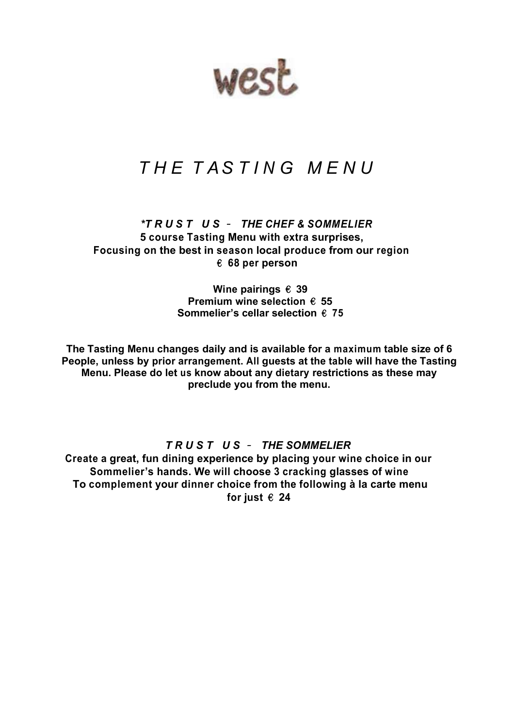west

# *T H E T AS T I N G M E N U*

*\*T R U S T U S* – *THE CHEF & SOMMELIER* **5 course Tasting Menu with extra surprises, Focusing on the best in season local produce from our region** € **68 per person**

> **Wine pairings** € **39 Premium wine selection** € **55 Sommelier's cellar selection** € **75**

**The Tasting Menu changes daily and is available for a maximum table size of 6 People, unless by prior arrangement. All guests at the table will have the Tasting Menu. Please do let us know about any dietary restrictions as these may preclude you from the menu.**

*T R U S T U S* – *THE SOMMELIER*

**Create a great, fun dining experience by placing your wine choice in our Sommelier's hands. We will choose 3 cracking glasses of wine To complement your dinner choice from the following à la carte menu** for just  $\epsilon$  24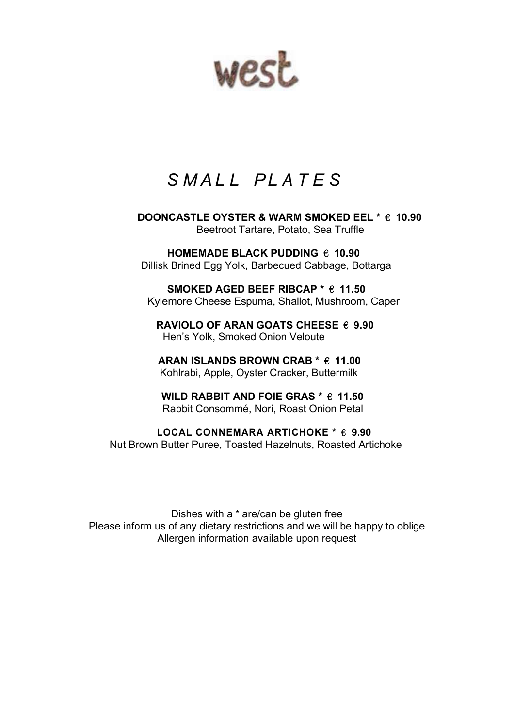west

# *S M A L L PL A T E S*

 **DOONCASTLE OYSTER & WARM SMOKED EEL \*** € **10.90** Beetroot Tartare, Potato, Sea Truffle

 **HOMEMADE BLACK PUDDING** € **10.90** Dillisk Brined Egg Yolk, Barbecued Cabbage, Bottarga

 **SMOKED AGED BEEF RIBCAP \*** € **11.50** Kylemore Cheese Espuma, Shallot, Mushroom, Caper

**RAVIOLO OF ARAN GOATS CHEESE** € **9.90** Hen's Yolk, Smoked Onion Veloute

**ARAN ISLANDS BROWN CRAB \*** € **11.00** Kohlrabi, Apple, Oyster Cracker, Buttermilk

**WILD RABBIT AND FOIE GRAS \*** € **11.50** Rabbit Consommé, Nori, Roast Onion Petal

 **LOCAL CONNEMARA ARTICHOKE \*** € **9.90** Nut Brown Butter Puree, Toasted Hazelnuts, Roasted Artichoke

Dishes with a \* are/can be gluten free Please inform us of any dietary restrictions and we will be happy to oblige Allergen information available upon request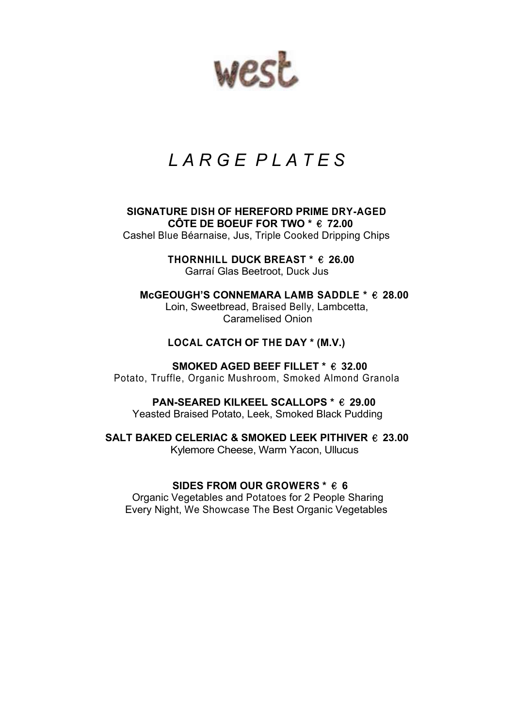west

# *L A R G E P L A T E S*

**SIGNATURE DISH OF HEREFORD PRIME DRY-AGED CÔTE DE BOEUF FOR TWO \*** € **72.00** Cashel Blue Béarnaise, Jus, Triple Cooked Dripping Chips

> **THORNHILL DUCK BREAST \*** € **26.00** Garraí Glas Beetroot, Duck Jus

 **McGEOUGH'S CONNEMARA LAMB SADDLE \*** € **28.00** Loin, Sweetbread, Braised Belly, Lambcetta, Caramelised Onion

#### **LOCAL CATCH OF THE DAY \* (M.V.)**

 **SMOKED AGED BEEF FILLET \*** € **32.00** Potato, Truffle, Organic Mushroom, Smoked Almond Granola

 **PAN-SEARED KILKEEL SCALLOPS \*** € **29.00** Yeasted Braised Potato, Leek, Smoked Black Pudding

**SALT BAKED CELERIAC & SMOKED LEEK PITHIVER** € **23.00** Kylemore Cheese, Warm Yacon, Ullucus

**SIDES FROM OUR GROWERS \*** € **6**

Organic Vegetables and Potatoes for 2 People Sharing Every Night, We Showcase The Best Organic Vegetables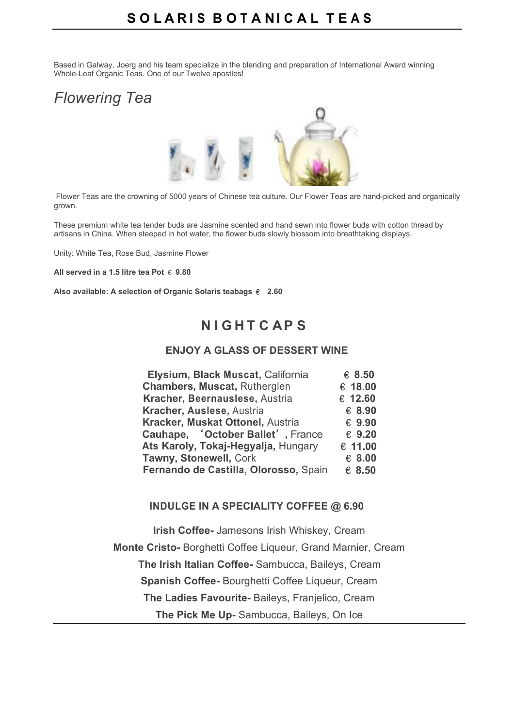Based in Galway, Joerg and his team specialize in the blending and preparation of International Award winning Whole-Leaf Organic Teas. One of our Twelve apostles!

## *Flowering Tea*



Flower Teas are the crowning of 5000 years of Chinese tea culture. Our Flower Teas are hand-picked and organically grown.

These premium white tea tender buds are Jasmine scented and hand sewn into flower buds with cotton thread by artisans in China. When steeped in hot water, the flower buds slowly blossom into breathtaking displays.

Unity: White Tea, Rose Bud, Jasmine Flower

**All served in a 1.5 litre tea Pot** € **9.80**

**Also available: A selection of Organic Solaris teabags** € **2.60**

## **N I G H T C AP S**

#### **ENJOY A GLASS OF DESSERT WINE**

| Elysium, Black Muscat, California     | € 8.50  |
|---------------------------------------|---------|
| <b>Chambers, Muscat, Rutherglen</b>   | € 18.00 |
| Kracher, Beernauslese, Austria        | € 12.60 |
| Kracher, Auslese, Austria             | € 8.90  |
| Kracker, Muskat Ottonel, Austria      | €9.90   |
| Cauhape, 'October Ballet', France     | € 9.20  |
| Ats Karoly, Tokaj-Hegyalja, Hungary   | € 11.00 |
| Tawny, Stonewell, Cork                | € 8.00  |
| Fernando de Castilla, Olorosso, Spain | € 8.50  |

#### **INDULGE IN A SPECIALITY COFFEE @ 6.90**

**Irish Coffee-** Jamesons Irish Whiskey, Cream **Monte Cristo-** Borghetti Coffee Liqueur, Grand Marnier, Cream  **The Irish Italian Coffee-** Sambucca, Baileys, Cream **Spanish Coffee-** Bourghetti Coffee Liqueur, Cream **The Ladies Favourite-** Baileys, Franjelico, Cream **The Pick Me Up-** Sambucca, Baileys, On Ice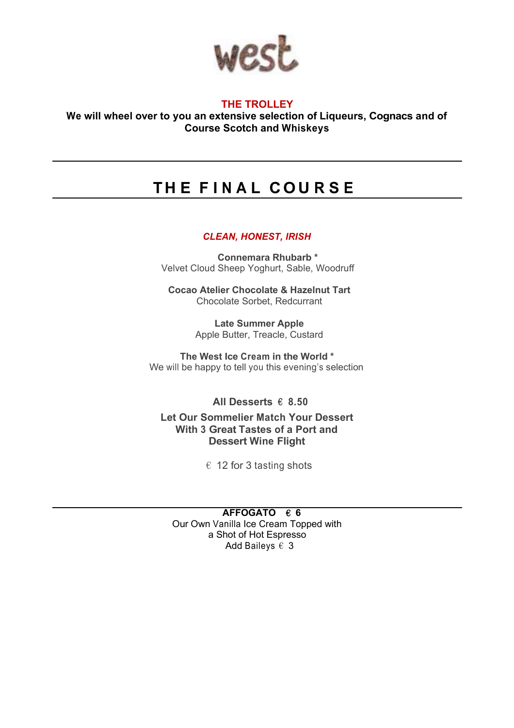

#### **THE TROLLEY**

**We will wheel over to you an extensive selection of Liqueurs, Cognacs and of Course Scotch and Whiskeys**

## **T H E F I N A L C O U R S E**

#### *CLEAN, HONEST, IRISH*

 **Connemara Rhubarb \*** Velvet Cloud Sheep Yoghurt, Sable, Woodruff

**Cocao Atelier Chocolate & Hazelnut Tart** Chocolate Sorbet, Redcurrant

> **Late Summer Apple**  Apple Butter, Treacle, Custard

**The West Ice Cream in the World \*** We will be happy to tell you this evening's selection

**All Desserts** € **8.50**

**Let Our Sommelier Match Your Dessert With 3 Great Tastes of a Port and Dessert Wine Flight**

 $\epsilon$  12 for 3 tasting shots

**AFFOGATO** € **6** Our Own Vanilla Ice Cream Topped with a Shot of Hot Espresso Add Baileys  $\epsilon$  3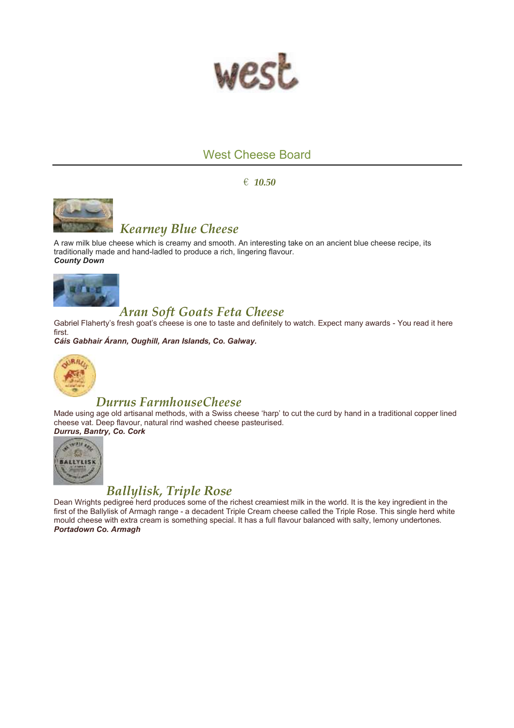

## West Cheese Board

€ *10.50*



## *Kearney Blue Cheese*

A raw milk blue cheese which is creamy and smooth. An interesting take on an ancient blue cheese recipe, its traditionally made and hand-ladled to produce a rich, lingering flavour. *County Down*



## *Aran Soft Goats Feta Cheese*

Gabriel Flaherty's fresh goat's cheese is one to taste and definitely to watch. Expect many awards - You read it here first.

*Cáis Gabhair Árann, Oughill, Aran Islands, Co. Galway.*



### *Durrus FarmhouseCheese*

Made using age old artisanal methods, with a Swiss cheese 'harp' to cut the curd by hand in a traditional copper lined cheese vat. Deep flavour, natural rind washed cheese pasteurised. *Durrus, Bantry, Co. Cork*



## *Ballylisk, Triple Rose*

Dean Wrights pedigree herd produces some of the richest creamiest milk in the world. It is the key ingredient in the first of the Ballylisk of Armagh range - a decadent Triple Cream cheese called the Triple Rose. This single herd white mould cheese with extra cream is something special. It has a full flavour balanced with salty, lemony undertones. *Portadown Co. Armagh*